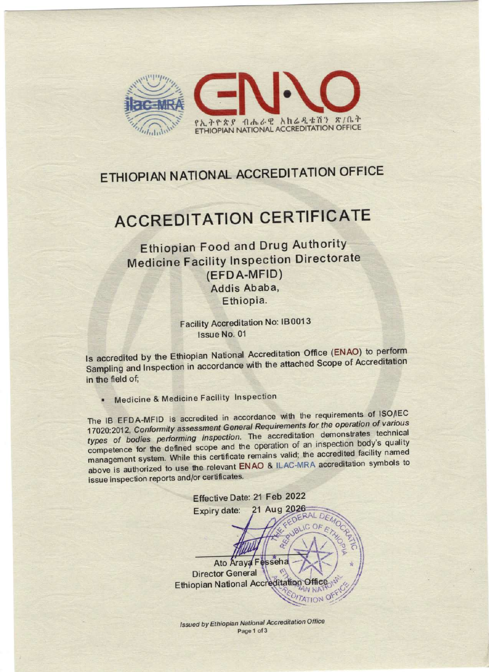

## **ETHIOPIAN NATIONAL ACCREDITATION OFFICE**

## ACCREDITATION CERTIFICATE

Ethiopian Food and Drug Authority Medicine Facility Inspection Directorate (EFDA-MFID) Addis Ababa, Ethiopia.

> Facility Accreditation No: 18 0013 Issue No. 01

ls accredited by the Ethiopian National Accreditation Office (ENAO) to perform Sampling and Inspection in accordance with the attached Scope of Accreditation in the field of;

Medicine & Medicine Facility Inspection

The IB EFDA-MFID is accredited in accordance with the requirements of ISO/IEC 17020:2012, Conformity assessment General Requirements for the operation of various types of bodies performing inspection. The accreditation demonstrates technical<br>competence for the defined scope and the operation of an inspection body's quality competence for the defined scope and the operation of an inspection facility named management system. While this certificate remains valid; the accreditation symbols to above is authorized to use the relevant ENAO & lLAC-MRA accreditation symbols to issue inspection reports and/or certificates.

Effective Date: 21 Feb 2022 21 Aug 2026 Expiry date: ó Ato Araya F esseha **Director General** Ethiopian National Accreditation  $\Theta$ ff

Issued by Ethiopian National Accreditation Office Page 1 of 3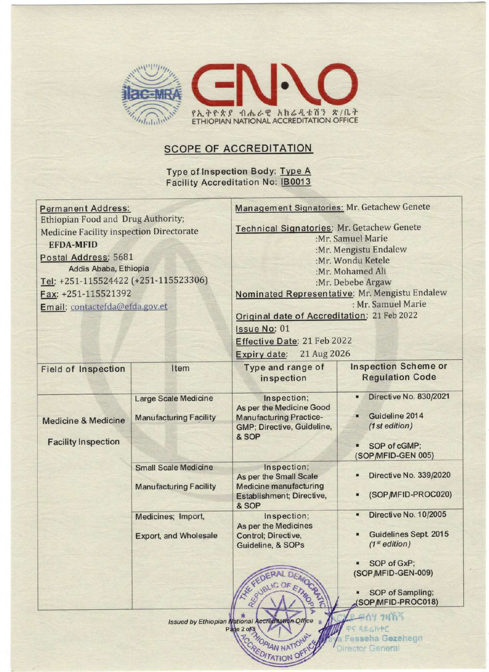

## SCOPE OF ACCREDITATION

Type of Inspection Body: Type A **Facility Accreditation No: IB0013** 

| <b>Permanent Address:</b><br><b>Ethiopian Food and Drug Authority;</b><br><b>Medicine Facility inspection Directorate</b><br><b>EFDA-MFID</b><br>Postal Address: 5681<br>Addis Ababa, Ethiopia<br>Tel: +251-115524422 (+251-115523306)<br>Fax: +251-115521392<br>Email: contactefda@efda.gov.et |                                                              | Management Signatories: Mr. Getachew Genete<br>Technical Signatories: Mr. Getachew Genete<br>:Mr. Samuel Marie<br>:Mr. Mengistu Endalew<br>:Mr. Wondu Ketele<br>:Mr. Mohamed Ali<br>:Mr. Debebe Argaw<br>Nominated Representative: Mr. Mengistu Endalew<br>: Mr. Samuel Marie<br>Original date of Accreditation: 21 Feb 2022<br>Issue No: 01<br>Effective Date: 21 Feb 2022<br>Expiry date: 21 Aug 2026 |                                                                                                  |  |
|-------------------------------------------------------------------------------------------------------------------------------------------------------------------------------------------------------------------------------------------------------------------------------------------------|--------------------------------------------------------------|---------------------------------------------------------------------------------------------------------------------------------------------------------------------------------------------------------------------------------------------------------------------------------------------------------------------------------------------------------------------------------------------------------|--------------------------------------------------------------------------------------------------|--|
| <b>Field of Inspection</b>                                                                                                                                                                                                                                                                      | Item                                                         | Type and range of<br>inspection                                                                                                                                                                                                                                                                                                                                                                         | <b>Inspection Scheme or</b><br><b>Regulation Code</b>                                            |  |
| <b>Medicine &amp; Medicine</b><br><b>Facility Inspection</b>                                                                                                                                                                                                                                    | <b>Large Scale Medicine</b><br><b>Manufacturing Facility</b> | Inspection;<br>As per the Medicine Good<br><b>Manufacturing Practice-</b><br>GMP; Directive, Guideline,<br>& SOP                                                                                                                                                                                                                                                                                        | Directive No. 830/2021<br>Guideline 2014<br>(1 st edition)<br>SOP of cGMP;<br>(SOP/MFID-GEN 005) |  |
|                                                                                                                                                                                                                                                                                                 | <b>Small Scale Medicine</b><br><b>Manufacturing Facility</b> | Inspection;<br>As per the Small Scale<br><b>Medicine manufacturing</b><br>Establishment; Directive,<br>& SOP                                                                                                                                                                                                                                                                                            | Directive No. 339/2020<br>(SOP/MFID-PROC020)                                                     |  |
|                                                                                                                                                                                                                                                                                                 | Medicines; Import,<br><b>Export, and Wholesale</b>           | Inspection;<br>As per the Medicines<br>Control; Directive,<br>Guideline, & SOPs                                                                                                                                                                                                                                                                                                                         | Directive No. 10/2005<br>$\blacksquare$<br>Guidelines Sept. 2015<br>(1 <sup>st</sup> edition)    |  |
|                                                                                                                                                                                                                                                                                                 |                                                              | DEMOR<br><b>AXKEE</b><br>REVIBLIC OF ETHICA                                                                                                                                                                                                                                                                                                                                                             | SOP of GxP;<br>(SOP/MFID-GEN-009)<br>SOP of Sampling;<br>(SOP/MFID-PROC018)                      |  |
| ъ<br>ፍሰሃ ንዛኸኝ<br>Issued by Ethiopian National Accreditation Office<br>ዋና ዳይሬክተር<br>Page 2 org 2009/AN NATIONAL<br><b>ROCATORIAN NATION OF</b><br>Fesseha Gezehegn<br>Director General                                                                                                           |                                                              |                                                                                                                                                                                                                                                                                                                                                                                                         |                                                                                                  |  |